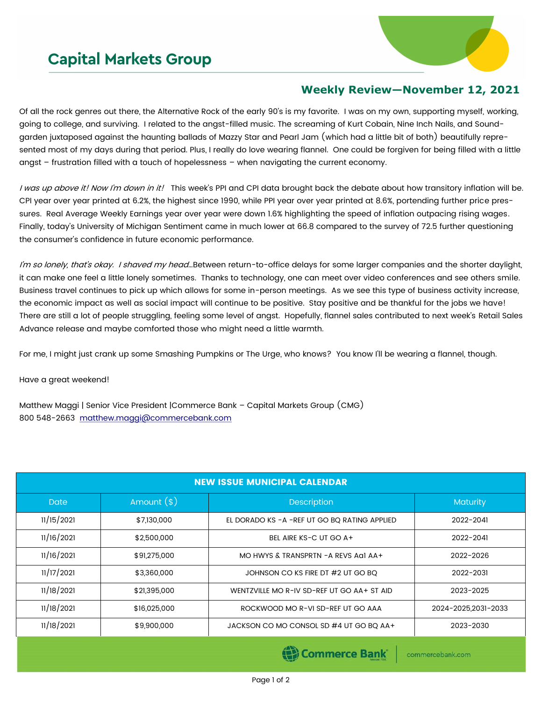## **Capital Markets Group**



## **Weekly Review—November 12, 2021**

Of all the rock genres out there, the Alternative Rock of the early 90's is my favorite. I was on my own, supporting myself, working, going to college, and surviving. I related to the angst-filled music. The screaming of Kurt Cobain, Nine Inch Nails, and Soundgarden juxtaposed against the haunting ballads of Mazzy Star and Pearl Jam (which had a little bit of both) beautifully represented most of my days during that period. Plus, I really do love wearing flannel. One could be forgiven for being filled with a little angst – frustration filled with a touch of hopelessness – when navigating the current economy.

I was up above it! Now I'm down in it! This week's PPI and CPI data brought back the debate about how transitory inflation will be. CPI year over year printed at 6.2%, the highest since 1990, while PPI year over year printed at 8.6%, portending further price pressures. Real Average Weekly Earnings year over year were down 1.6% highlighting the speed of inflation outpacing rising wages. Finally, today's University of Michigan Sentiment came in much lower at 66.8 compared to the survey of 72.5 further questioning the consumer's confidence in future economic performance.

I'm so lonely, that's okay. I shaved my head...Between return-to-office delays for some larger companies and the shorter daylight, it can make one feel a little lonely sometimes. Thanks to technology, one can meet over video conferences and see others smile. Business travel continues to pick up which allows for some in-person meetings. As we see this type of business activity increase, the economic impact as well as social impact will continue to be positive. Stay positive and be thankful for the jobs we have! There are still a lot of people struggling, feeling some level of angst. Hopefully, flannel sales contributed to next week's Retail Sales Advance release and maybe comforted those who might need a little warmth.

For me, I might just crank up some Smashing Pumpkins or The Urge, who knows? You know I'll be wearing a flannel, though.

Have a great weekend!

Matthew Maggi | Senior Vice President |Commerce Bank – Capital Markets Group (CMG) 800 548-2663 [matthew.maggi@commercebank.com](mailto:matthew.maggi@commercebank.com)

| <b>NEW ISSUE MUNICIPAL CALENDAR</b> |               |                                                |                     |  |  |  |  |
|-------------------------------------|---------------|------------------------------------------------|---------------------|--|--|--|--|
| <b>Date</b>                         | Amount $(\$)$ | <b>Description</b>                             | Maturity            |  |  |  |  |
| 11/15/2021                          | \$7,130,000   | EL DORADO KS - A - REF UT GO BO RATING APPLIED | 2022-2041           |  |  |  |  |
| 11/16/2021                          | \$2,500,000   | BEL AIRE KS-C UT GO A+                         | 2022-2041           |  |  |  |  |
| 11/16/2021                          | \$91,275,000  | MO HWYS & TRANSPRTN - A REVS AGI AA+           | 2022-2026           |  |  |  |  |
| 11/17/2021                          | \$3,360,000   | JOHNSON CO KS FIRE DT #2 UT GO BQ              | 2022-2031           |  |  |  |  |
| 11/18/2021                          | \$21,395,000  | WENTZVILLE MO R-IV SD-REF UT GO AA+ ST AID     | 2023-2025           |  |  |  |  |
| 11/18/2021                          | \$16,025,000  | ROCKWOOD MO R-VI SD-REF UT GO AAA              | 2024-2025.2031-2033 |  |  |  |  |
| 11/18/2021                          | \$9,900,000   | JACKSON CO MO CONSOL SD #4 UT GO BQ AA+        | 2023-2030           |  |  |  |  |

(B) Commerce Bank

commercebank.com